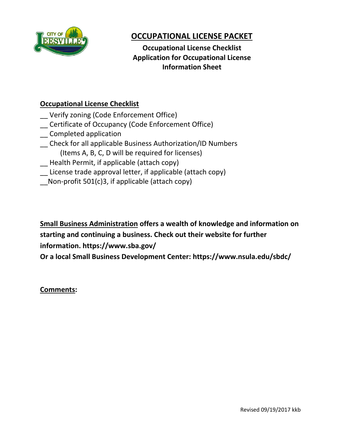

# **OCCUPATIONAL LICENSE PACKET**

 **Application for Occupational License Occupational License Checklist Information Sheet**

## **Occupational License Checklist**

- \_\_ Verify zoning (Code Enforcement Office)
- \_\_ Certificate of Occupancy (Code Enforcement Office)
- \_\_ Completed application
- \_\_ Check for all applicable Business Authorization/ID Numbers (Items A, B, C, D will be required for licenses)
- \_\_ Health Permit, if applicable (attach copy)
- \_\_ License trade approval letter, if applicable (attach copy)
- $\Box$  Non-profit 501(c)3, if applicable (attach copy)

**Small Business Administration offers a wealth of knowledge and information on starting and continuing a business. Check out their website for further information. https://www.sba.gov/**

**Or a local Small Business Development Center: https://www.nsula.edu/sbdc/**

**Comments:**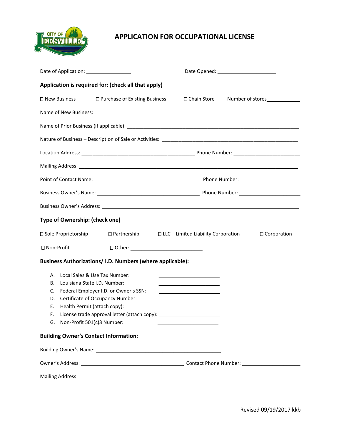

### **APPLICATION FOR OCCUPATIONAL LICENSE**

| Date of Application: __________________                                                                                                                                                                                                                                                                                                                                                                                                                                                                                                                                        |  | Date Opened: ________________________                                                             |  |  |               |
|--------------------------------------------------------------------------------------------------------------------------------------------------------------------------------------------------------------------------------------------------------------------------------------------------------------------------------------------------------------------------------------------------------------------------------------------------------------------------------------------------------------------------------------------------------------------------------|--|---------------------------------------------------------------------------------------------------|--|--|---------------|
| Application is required for: (check all that apply)                                                                                                                                                                                                                                                                                                                                                                                                                                                                                                                            |  |                                                                                                   |  |  |               |
| □ New Business  □ Purchase of Existing Business  □ Chain Store Number of stores  □                                                                                                                                                                                                                                                                                                                                                                                                                                                                                             |  |                                                                                                   |  |  |               |
| Name of New Business: 1988 and 2008 and 2008 and 2008 and 2008 and 2008 and 2008 and 2008 and 2008 and 2008 and 2008 and 2008 and 2008 and 2008 and 2008 and 2008 and 2008 and 2008 and 2008 and 2008 and 2008 and 2008 and 20                                                                                                                                                                                                                                                                                                                                                 |  |                                                                                                   |  |  |               |
|                                                                                                                                                                                                                                                                                                                                                                                                                                                                                                                                                                                |  |                                                                                                   |  |  |               |
|                                                                                                                                                                                                                                                                                                                                                                                                                                                                                                                                                                                |  |                                                                                                   |  |  |               |
|                                                                                                                                                                                                                                                                                                                                                                                                                                                                                                                                                                                |  |                                                                                                   |  |  |               |
|                                                                                                                                                                                                                                                                                                                                                                                                                                                                                                                                                                                |  |                                                                                                   |  |  |               |
|                                                                                                                                                                                                                                                                                                                                                                                                                                                                                                                                                                                |  |                                                                                                   |  |  |               |
|                                                                                                                                                                                                                                                                                                                                                                                                                                                                                                                                                                                |  |                                                                                                   |  |  |               |
|                                                                                                                                                                                                                                                                                                                                                                                                                                                                                                                                                                                |  |                                                                                                   |  |  |               |
| Type of Ownership: (check one)                                                                                                                                                                                                                                                                                                                                                                                                                                                                                                                                                 |  |                                                                                                   |  |  |               |
|                                                                                                                                                                                                                                                                                                                                                                                                                                                                                                                                                                                |  | $\square$ Sole Proprietorship $\square$ Partnership $\square$ LLC – Limited Liability Corporation |  |  | □ Corporation |
| □ Non-Profit                                                                                                                                                                                                                                                                                                                                                                                                                                                                                                                                                                   |  |                                                                                                   |  |  |               |
| Business Authorizations/ I.D. Numbers (where applicable):                                                                                                                                                                                                                                                                                                                                                                                                                                                                                                                      |  |                                                                                                   |  |  |               |
| Local Sales & Use Tax Number:<br>А.<br>Louisiana State I.D. Number:<br>В.<br><u> 1989 - Johann Barn, amerikansk politiker (</u><br>Federal Employer I.D. or Owner's SSN:<br>C.<br><u> 1989 - Johann Barbara, martxa alemaniar a</u><br>Certificate of Occupancy Number:<br>D.<br><u> 1980 - Johann Barn, mars eta bainar eta baina eta baina eta baina eta baina eta baina eta baina eta baina e</u><br>Health Permit (attach copy):<br>Ε.<br>F. License trade approval letter (attach copy):<br>G. Non-Profit 501(c)3 Number:<br><b>Building Owner's Contact Information:</b> |  |                                                                                                   |  |  |               |
|                                                                                                                                                                                                                                                                                                                                                                                                                                                                                                                                                                                |  |                                                                                                   |  |  |               |
|                                                                                                                                                                                                                                                                                                                                                                                                                                                                                                                                                                                |  |                                                                                                   |  |  |               |
|                                                                                                                                                                                                                                                                                                                                                                                                                                                                                                                                                                                |  |                                                                                                   |  |  |               |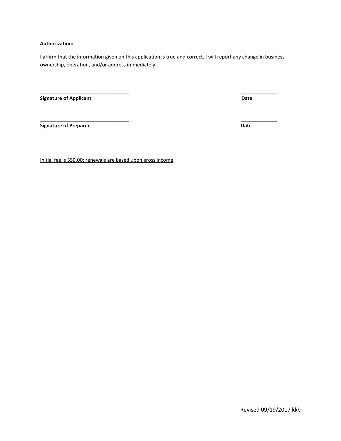#### **Authorization:**

I affirm that the information given on this application is true and correct. I will report any change in business ownership, operation, and/or address immediately.

**\_\_\_\_\_\_\_\_\_\_\_\_\_\_\_\_\_\_\_\_\_\_\_\_\_\_\_\_\_\_\_\_ \_\_\_\_\_\_\_\_\_\_\_\_\_**

**\_\_\_\_\_\_\_\_\_\_\_\_\_\_\_\_\_\_\_\_\_\_\_\_\_\_\_\_\_\_\_\_ \_\_\_\_\_\_\_\_\_\_\_\_\_**

**Signature of Applicant Date** 

**Signature of Preparer Contract Contract Contract Contract Contract Contract Contract Contract Contract Contract Contract Contract Contract Contract Contract Contract Contract Contract Contract Contract Contract Contract C** 

Initial fee is \$50.00; renewals are based upon gross income.